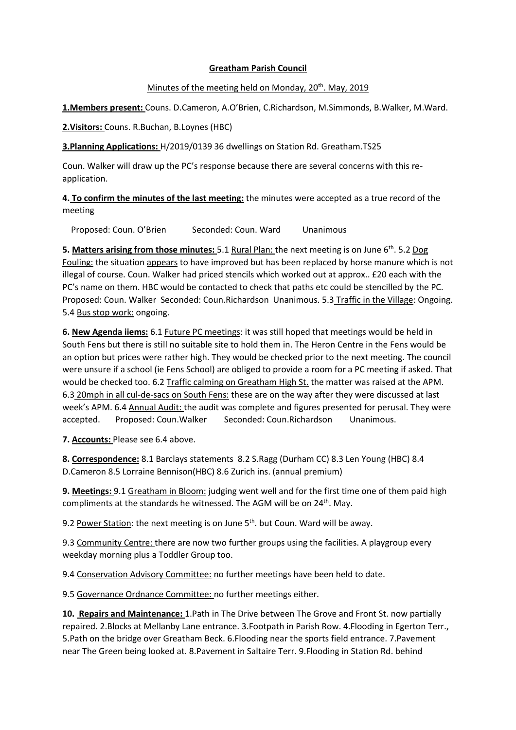## **Greatham Parish Council**

## Minutes of the meeting held on Monday, 20<sup>th</sup>. May, 2019

**1.Members present:** Couns. D.Cameron, A.O'Brien, C.Richardson, M.Simmonds, B.Walker, M.Ward.

**2.Visitors:** Couns. R.Buchan, B.Loynes (HBC)

**3.Planning Applications:** H/2019/0139 36 dwellings on Station Rd. Greatham.TS25

Coun. Walker will draw up the PC's response because there are several concerns with this reapplication.

**4. To confirm the minutes of the last meeting:** the minutes were accepted as a true record of the meeting

Proposed: Coun. O'Brien Seconded: Coun. Ward Unanimous

5. Matters arising from those minutes: 5.1 Rural Plan: the next meeting is on June 6<sup>th</sup>. 5.2 Dog Fouling: the situation appears to have improved but has been replaced by horse manure which is not illegal of course. Coun. Walker had priced stencils which worked out at approx.. £20 each with the PC's name on them. HBC would be contacted to check that paths etc could be stencilled by the PC. Proposed: Coun. Walker Seconded: Coun.Richardson Unanimous. 5.3 Traffic in the Village: Ongoing. 5.4 Bus stop work: ongoing.

**6. New Agenda iiems:** 6.1 Future PC meetings: it was still hoped that meetings would be held in South Fens but there is still no suitable site to hold them in. The Heron Centre in the Fens would be an option but prices were rather high. They would be checked prior to the next meeting. The council were unsure if a school (ie Fens School) are obliged to provide a room for a PC meeting if asked. That would be checked too. 6.2 Traffic calming on Greatham High St. the matter was raised at the APM. 6.3 20mph in all cul-de-sacs on South Fens: these are on the way after they were discussed at last week's APM. 6.4 Annual Audit: the audit was complete and figures presented for perusal. They were accepted. Proposed: Coun.Walker Seconded: Coun.Richardson Unanimous.

**7. Accounts:** Please see 6.4 above.

**8. Correspondence:** 8.1 Barclays statements 8.2 S.Ragg (Durham CC) 8.3 Len Young (HBC) 8.4 D.Cameron 8.5 Lorraine Bennison(HBC) 8.6 Zurich ins. (annual premium)

**9. Meetings:** 9.1 Greatham in Bloom: judging went well and for the first time one of them paid high compliments at the standards he witnessed. The AGM will be on 24<sup>th</sup>. May.

9.2 Power Station: the next meeting is on June 5<sup>th</sup>. but Coun. Ward will be away.

9.3 Community Centre: there are now two further groups using the facilities. A playgroup every weekday morning plus a Toddler Group too.

9.4 Conservation Advisory Committee: no further meetings have been held to date.

9.5 Governance Ordnance Committee: no further meetings either.

**10. Repairs and Maintenance:** 1.Path in The Drive between The Grove and Front St. now partially repaired. 2.Blocks at Mellanby Lane entrance. 3.Footpath in Parish Row. 4.Flooding in Egerton Terr., 5.Path on the bridge over Greatham Beck. 6.Flooding near the sports field entrance. 7.Pavement near The Green being looked at. 8.Pavement in Saltaire Terr. 9.Flooding in Station Rd. behind